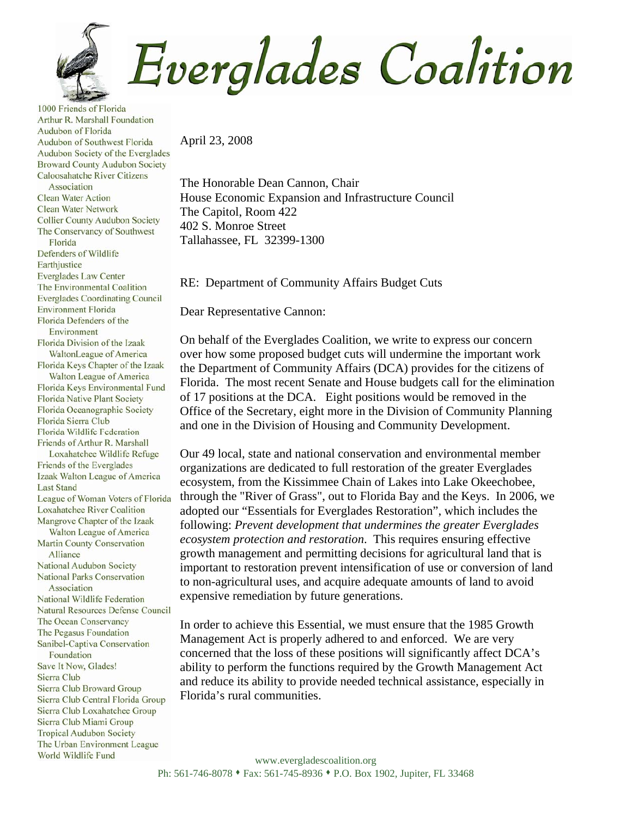Everglades Coalition

1000 Friends of Florida Arthur R. Marshall Foundation Audubon of Florida Audubon of Southwest Florida Audubon Society of the Everglades **Broward County Audubon Society** Caloosahatche River Citizens Association **Clean Water Action Clean Water Network Collier County Audubon Society** The Conservancy of Southwest Florida Defenders of Wildlife Earthjustice **Everglades Law Center** The Environmental Coalition **Everglades Coordinating Council Environment Florida** Florida Defenders of the Environment Florida Division of the Izaak WaltonLeague of America Florida Keys Chapter of the Izaak Walton League of America Florida Keys Environmental Fund **Florida Native Plant Society** Florida Oceanographic Society Florida Sierra Club Florida Wildlife Federation Friends of Arthur R. Marshall Loxahatchee Wildlife Refuge Friends of the Everglades Izaak Walton League of America **Last Stand** League of Woman Voters of Florida **Loxahatchee River Coalition** Mangrove Chapter of the Izaak Walton League of America **Martin County Conservation** Alliance National Audubon Society **National Parks Conservation** Association National Wildlife Federation **Natural Resources Defense Council** The Ocean Conservancy The Pegasus Foundation Sanibel-Captiva Conservation Foundation Save It Now, Glades! Sierra Club Sierra Club Broward Group Sierra Club Central Florida Group Sierra Club Loxahatchee Group Sierra Club Miami Group **Tropical Audubon Society** The Urban Environment League World Wildlife Fund

April 23, 2008

The Honorable Dean Cannon, Chair House Economic Expansion and Infrastructure Council The Capitol, Room 422 402 S. Monroe Street Tallahassee, FL 32399-1300

RE: Department of Community Affairs Budget Cuts

Dear Representative Cannon:

On behalf of the Everglades Coalition, we write to express our concern over how some proposed budget cuts will undermine the important work the Department of Community Affairs (DCA) provides for the citizens of Florida. The most recent Senate and House budgets call for the elimination of 17 positions at the DCA. Eight positions would be removed in the Office of the Secretary, eight more in the Division of Community Planning and one in the Division of Housing and Community Development.

Our 49 local, state and national conservation and environmental member organizations are dedicated to full restoration of the greater Everglades ecosystem, from the Kissimmee Chain of Lakes into Lake Okeechobee, through the "River of Grass", out to Florida Bay and the Keys. In 2006, we adopted our "Essentials for Everglades Restoration", which includes the following: *Prevent development that undermines the greater Everglades ecosystem protection and restoration*. This requires ensuring effective growth management and permitting decisions for agricultural land that is important to restoration prevent intensification of use or conversion of land to non-agricultural uses, and acquire adequate amounts of land to avoid expensive remediation by future generations.

In order to achieve this Essential, we must ensure that the 1985 Growth Management Act is properly adhered to and enforced. We are very concerned that the loss of these positions will significantly affect DCA's ability to perform the functions required by the Growth Management Act and reduce its ability to provide needed technical assistance, especially in Florida's rural communities.